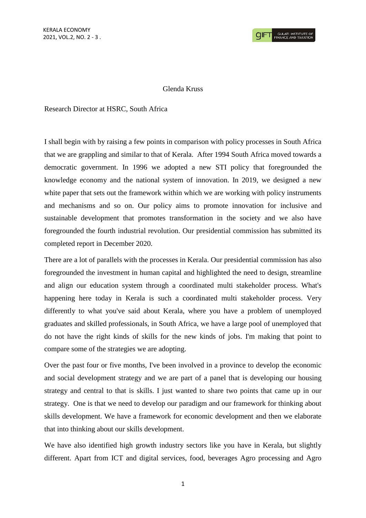## Glenda Kruss

Research Director at HSRC, South Africa

I shall begin with by raising a few points in comparison with policy processes in South Africa that we are grappling and similar to that of Kerala. After 1994 South Africa moved towards a democratic government. In 1996 we adopted a new STI policy that foregrounded the knowledge economy and the national system of innovation. In 2019, we designed a new white paper that sets out the framework within which we are working with policy instruments and mechanisms and so on. Our policy aims to promote innovation for inclusive and sustainable development that promotes transformation in the society and we also have foregrounded the fourth industrial revolution. Our presidential commission has submitted its completed report in December 2020.

There are a lot of parallels with the processes in Kerala. Our presidential commission has also foregrounded the investment in human capital and highlighted the need to design, streamline and align our education system through a coordinated multi stakeholder process. What's happening here today in Kerala is such a coordinated multi stakeholder process. Very differently to what you've said about Kerala, where you have a problem of unemployed graduates and skilled professionals, in South Africa, we have a large pool of unemployed that do not have the right kinds of skills for the new kinds of jobs. I'm making that point to compare some of the strategies we are adopting.

Over the past four or five months, I've been involved in a province to develop the economic and social development strategy and we are part of a panel that is developing our housing strategy and central to that is skills. I just wanted to share two points that came up in our strategy. One is that we need to develop our paradigm and our framework for thinking about skills development. We have a framework for economic development and then we elaborate that into thinking about our skills development.

We have also identified high growth industry sectors like you have in Kerala, but slightly different. Apart from ICT and digital services, food, beverages Agro processing and Agro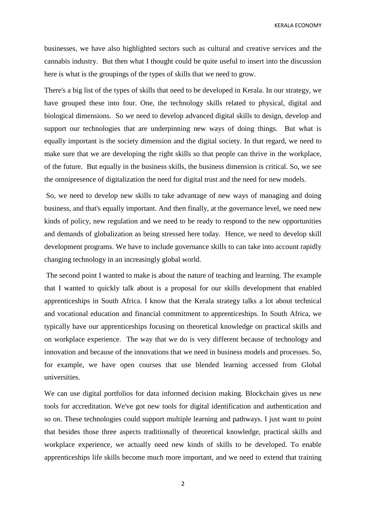KERALA ECONOMY

businesses, we have also highlighted sectors such as cultural and creative services and the cannabis industry. But then what I thought could be quite useful to insert into the discussion here is what is the groupings of the types of skills that we need to grow.

There's a big list of the types of skills that need to be developed in Kerala. In our strategy, we have grouped these into four. One, the technology skills related to physical, digital and biological dimensions. So we need to develop advanced digital skills to design, develop and support our technologies that are underpinning new ways of doing things. But what is equally important is the society dimension and the digital society. In that regard, we need to make sure that we are developing the right skills so that people can thrive in the workplace, of the future. But equally in the business skills, the business dimension is critical. So, we see the omnipresence of digitalization the need for digital trust and the need for new models.

So, we need to develop new skills to take advantage of new ways of managing and doing business, and that's equally important. And then finally, at the governance level, we need new kinds of policy, new regulation and we need to be ready to respond to the new opportunities and demands of globalization as being stressed here today. Hence, we need to develop skill development programs. We have to include governance skills to can take into account rapidly changing technology in an increasingly global world.

The second point I wanted to make is about the nature of teaching and learning. The example that I wanted to quickly talk about is a proposal for our skills development that enabled apprenticeships in South Africa. I know that the Kerala strategy talks a lot about technical and vocational education and financial commitment to apprenticeships. In South Africa, we typically have our apprenticeships focusing on theoretical knowledge on practical skills and on workplace experience. The way that we do is very different because of technology and innovation and because of the innovations that we need in business models and processes. So, for example, we have open courses that use blended learning accessed from Global universities.

We can use digital portfolios for data informed decision making. Blockchain gives us new tools for accreditation. We've got new tools for digital identification and authentication and so on. These technologies could support multiple learning and pathways. I just want to point that besides those three aspects traditionally of theoretical knowledge, practical skills and workplace experience, we actually need new kinds of skills to be developed. To enable apprenticeships life skills become much more important, and we need to extend that training